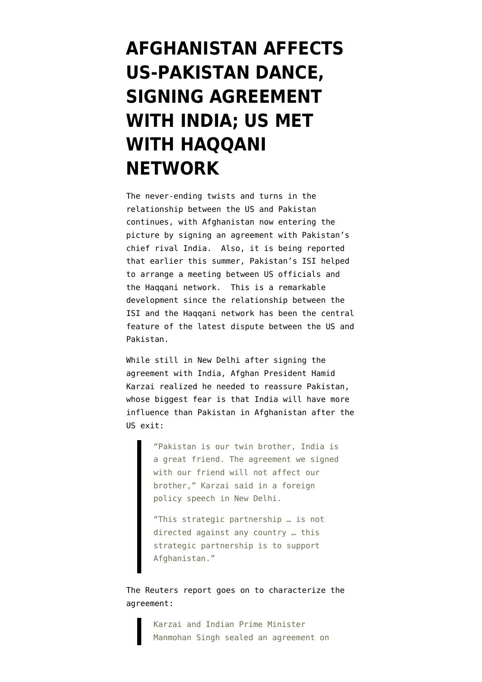## **[AFGHANISTAN AFFECTS](https://www.emptywheel.net/2011/10/05/afghanistan-affects-us-pakistan-dance-signing-agreement-with-india-us-met-with-haqqani-network/) [US-PAKISTAN DANCE,](https://www.emptywheel.net/2011/10/05/afghanistan-affects-us-pakistan-dance-signing-agreement-with-india-us-met-with-haqqani-network/) [SIGNING AGREEMENT](https://www.emptywheel.net/2011/10/05/afghanistan-affects-us-pakistan-dance-signing-agreement-with-india-us-met-with-haqqani-network/) [WITH INDIA; US MET](https://www.emptywheel.net/2011/10/05/afghanistan-affects-us-pakistan-dance-signing-agreement-with-india-us-met-with-haqqani-network/) [WITH HAQQANI](https://www.emptywheel.net/2011/10/05/afghanistan-affects-us-pakistan-dance-signing-agreement-with-india-us-met-with-haqqani-network/) [NETWORK](https://www.emptywheel.net/2011/10/05/afghanistan-affects-us-pakistan-dance-signing-agreement-with-india-us-met-with-haqqani-network/)**

The never-ending twists and turns in the relationship between the US and Pakistan continues, with Afghanistan now entering the picture by signing an agreement with Pakistan's chief rival India. Also, it is being reported that earlier this summer, Pakistan's ISI helped to arrange a meeting between US officials and the Haqqani network. This is a remarkable development since the relationship between the ISI and the Haqqani network has been the central feature of the latest dispute between the US and Pakistan.

While still in New Delhi after signing the agreement with India, Afghan President Hamid [Karzai realized he needed to reassure Pakistan,](http://www.reuters.com/article/2011/10/05/us-afghanistan-india-idUSTRE79417D20111005) whose biggest fear is that India will have more influence than Pakistan in Afghanistan after the US exit:

> "Pakistan is our twin brother, India is a great friend. The agreement we signed with our friend will not affect our brother," Karzai said in a foreign policy speech in New Delhi.

"This strategic partnership … is not directed against any country … this strategic partnership is to support Afghanistan."

The Reuters report goes on to characterize the agreement:

> Karzai and Indian Prime Minister Manmohan Singh sealed an agreement on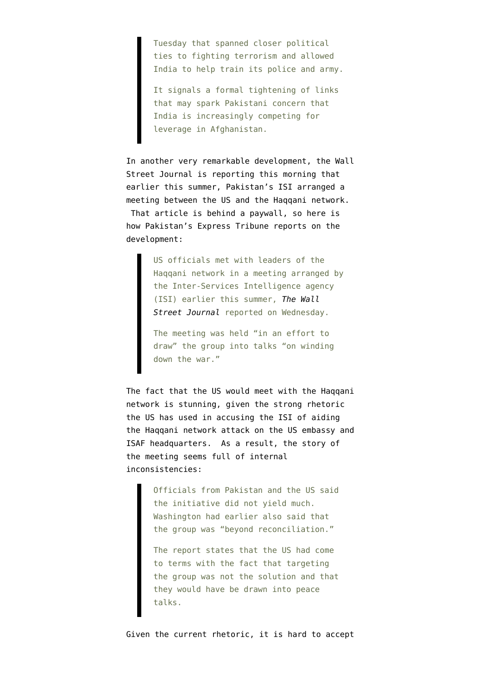Tuesday that spanned closer political ties to fighting terrorism and allowed India to help train its police and army.

It signals a formal tightening of links that may spark Pakistani concern that India is increasingly competing for leverage in Afghanistan.

In another very remarkable development, the Wall Street Journal is reporting this morning that earlier this summer, Pakistan's ISI arranged a meeting between the US and the Haqqani network. That article is behind a paywall, so here is how [Pakistan's Express Tribune reports on the](http://tribune.com.pk/story/267353/us-officials-met-haqqani-network-leaders-report/) [development](http://tribune.com.pk/story/267353/us-officials-met-haqqani-network-leaders-report/):

> US officials met with leaders of the Haqqani network in a meeting arranged by the Inter-Services Intelligence agency (ISI) earlier this summer, *[The Wall](http://online.wsj.com/article/SB10001424052970204524604576611233949274212.html) [Street Journal](http://online.wsj.com/article/SB10001424052970204524604576611233949274212.html)* reported on Wednesday.

The meeting was held "in an effort to draw" the group into talks "on winding down the war."

The fact that the US would meet with the Haqqani network is stunning, given the [strong rhetoric](http://www.emptywheel.net/2011/09/23/continued-escalation-in-us-pakistan-rhetoric/) [the US has used in accusing the ISI of aiding](http://www.emptywheel.net/2011/09/23/continued-escalation-in-us-pakistan-rhetoric/) [the Haqqani network](http://www.emptywheel.net/2011/09/23/continued-escalation-in-us-pakistan-rhetoric/) attack on the US embassy and ISAF headquarters. As a result, the story of the meeting seems full of internal inconsistencies:

> Officials from Pakistan and the US said the initiative did not yield much. Washington had earlier also said that the group was "beyond reconciliation."

> The report states that the US had come to terms with the fact that targeting the group was not the solution and that they would have be drawn into peace talks.